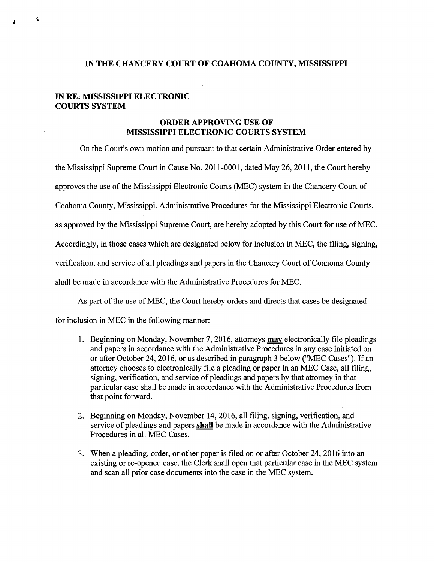## **IN THE CHANCERY COURT OF COAHOMA COUNTY, MISSISSIPPI**

## **IN RE: MISSISSIPPI ELECTRONIC COURTS SYSTEM**

## **ORDER APPROVING USE OF MISSISSIPPI ELECTRONIC COURTS SYSTEM**

On the Court's own motion and pursuant to that certain Administrative Order entered by the Mississippi Supreme Court in Cause No. 2011-0001, dated May 26,2011, the Court hereby approves the use ofthe Mississippi Electronic Courts (MEC) system in the Chancery Court of Coahoma County, Mississippi. Administrative Procedures for the Mississippi Electronic Courts, as approved by the Mississippi Supreme Court, are hereby adopted by this Court for use of MEC. Accordingly, in those cases which are designated below for inclusion in MEC, the filing, signing, verification, and service of all pleadings and papers in the Chancery Court of Coahoma County shall be made in accordance with the Administrative Procedures for MEC.

As part of the use of MEC, the Court hereby orders and directs that cases be designated

for inclusion in MEC in the following manner:

- 1. Beginning on Monday, November 7, 2016, attorneys **may** electronically file pleadings and papers in accordance with the Administrative Procedures in any case initiated on or after October 24, 2016, or as described in paragraph 3 below ("MEC Cases"). If an attorney chooses to electronically file a pleading or paper in an *MEC* Case, all filing, signing, verification, and service of pleadings and papers by that attorney in that particular case shall be made in accordance with the Administrative Procedures from that point forward.
- 2. Beginning on Monday, November 14,2016, all filing, signing, verification, and service of pleadings and papers **shall** be made in accordance with the Administrative Procedures in all MEC Cases.
- 3. When a pleading, order, or other paper is filed on or after October 24, 2016 into an existing or re-opened case, the Clerk shall open that particular case in the MEC system and scan all prior case documents into the case in the MEC system.

 $\mathbf{S}$  $\int$